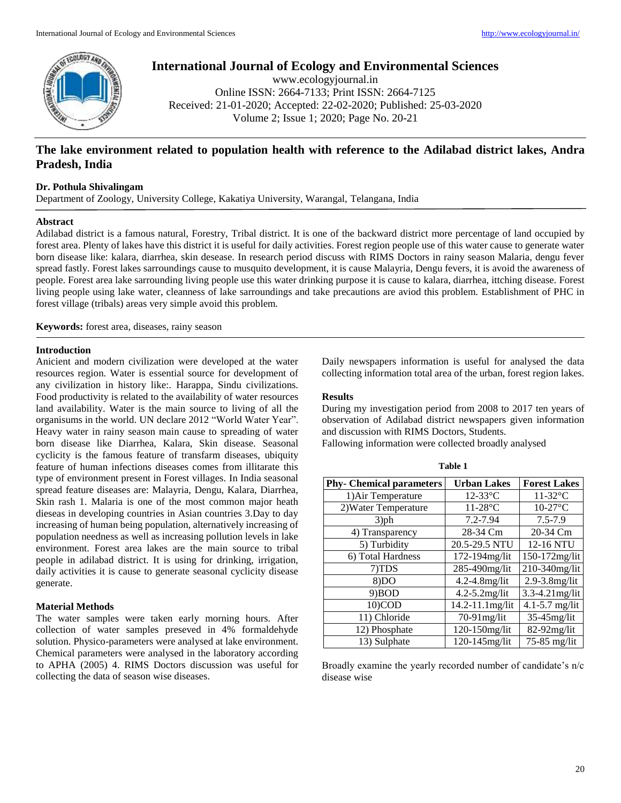

# **International Journal of Ecology and Environmental Sciences**

www.ecologyjournal.in Online ISSN: 2664-7133; Print ISSN: 2664-7125 Received: 21-01-2020; Accepted: 22-02-2020; Published: 25-03-2020 Volume 2; Issue 1; 2020; Page No. 20-21

## **The lake environment related to population health with reference to the Adilabad district lakes, Andra Pradesh, India**

## **Dr. Pothula Shivalingam**

Department of Zoology, University College, Kakatiya University, Warangal, Telangana, India

#### **Abstract**

Adilabad district is a famous natural, Forestry, Tribal district. It is one of the backward district more percentage of land occupied by forest area. Plenty of lakes have this district it is useful for daily activities. Forest region people use of this water cause to generate water born disease like: kalara, diarrhea, skin desease. In research period discuss with RIMS Doctors in rainy season Malaria, dengu fever spread fastly. Forest lakes sarroundings cause to musquito development, it is cause Malayria, Dengu fevers, it is avoid the awareness of people. Forest area lake sarrounding living people use this water drinking purpose it is cause to kalara, diarrhea, ittching disease. Forest living people using lake water, cleanness of lake sarroundings and take precautions are aviod this problem. Establishment of PHC in forest village (tribals) areas very simple avoid this problem.

**Keywords:** forest area, diseases, rainy season

#### **Introduction**

Anicient and modern civilization were developed at the water resources region. Water is essential source for development of any civilization in history like:. Harappa, Sindu civilizations. Food productivity is related to the availability of water resources land availability. Water is the main source to living of all the organisums in the world. UN declare 2012 "World Water Year". Heavy water in rainy season main cause to spreading of water born disease like Diarrhea, Kalara, Skin disease. Seasonal cyclicity is the famous feature of transfarm diseases, ubiquity feature of human infections diseases comes from illitarate this type of environment present in Forest villages. In India seasonal spread feature diseases are: Malayria, Dengu, Kalara, Diarrhea, Skin rash 1. Malaria is one of the most common major heath dieseas in developing countries in Asian countries 3.Day to day increasing of human being population, alternatively increasing of population needness as well as increasing pollution levels in lake environment. Forest area lakes are the main source to tribal people in adilabad district. It is using for drinking, irrigation, daily activities it is cause to generate seasonal cyclicity disease generate.

### **Material Methods**

The water samples were taken early morning hours. After collection of water samples preseved in 4% formaldehyde solution. Physico-parameters were analysed at lake environment. Chemical parameters were analysed in the laboratory according to APHA (2005) 4. RIMS Doctors discussion was useful for collecting the data of season wise diseases.

Daily newspapers information is useful for analysed the data collecting information total area of the urban, forest region lakes.

## **Results**

During my investigation period from 2008 to 2017 ten years of observation of Adilabad district newspapers given information and discussion with RIMS Doctors, Students.

Fallowing information were collected broadly analysed

| <b>Phy- Chemical parameters</b> | <b>Urban Lakes</b> | <b>Forest Lakes</b> |  |
|---------------------------------|--------------------|---------------------|--|
| 1) Air Temperature              | $12-33$ °C         | $11-32$ °C          |  |
| 2) Water Temperature            | $11-28$ °C         | $10-27$ °C          |  |
| $3$ )ph                         | $7.2 - 7.94$       | $7.5 - 7.9$         |  |
| 4) Transparency                 | 28-34 Cm           | 20-34 Cm            |  |
| 5) Turbidity                    | 20.5-29.5 NTU      | 12-16 NTU           |  |
| 6) Total Hardness               | 172-194mg/lit      | 150-172mg/lit       |  |
| 7)TDS                           | 285-490mg/lit      | 210-340mg/lit       |  |
| 8)DO                            | 4.2-4.8mg/lit      | 2.9-3.8mg/lit       |  |
| 9) BOD                          | $4.2 - 5.2$ mg/lit | 3.3-4.21mg/lit      |  |
| 10)COD                          | 14.2-11.1mg/lit    | 4.1-5.7 mg/lit      |  |
| 11) Chloride                    | $70-91$ mg/lit     | $35-45$ mg/lit      |  |
| 12) Phosphate                   | 120-150mg/lit      | $82-92$ mg/lit      |  |
| 13) Sulphate                    | 120-145mg/lit      | $75-85$ mg/lit      |  |

Broadly examine the yearly recorded number of candidate's n/c disease wise

#### **Table 1**